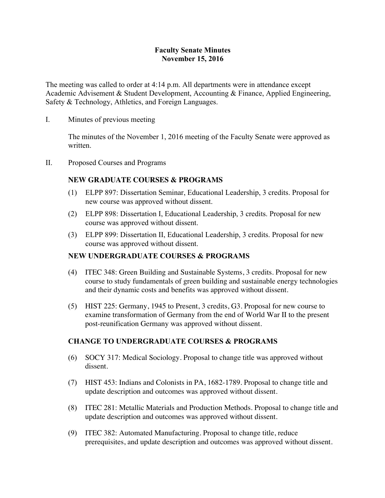### **Faculty Senate Minutes November 15, 2016**

The meeting was called to order at 4:14 p.m. All departments were in attendance except Academic Advisement & Student Development, Accounting & Finance, Applied Engineering, Safety & Technology, Athletics, and Foreign Languages.

I. Minutes of previous meeting

The minutes of the November 1, 2016 meeting of the Faculty Senate were approved as written.

II. Proposed Courses and Programs

#### **NEW GRADUATE COURSES & PROGRAMS**

- (1) ELPP 897: Dissertation Seminar, Educational Leadership, 3 credits. Proposal for new course was approved without dissent.
- (2) ELPP 898: Dissertation I, Educational Leadership, 3 credits. Proposal for new course was approved without dissent.
- (3) ELPP 899: Dissertation II, Educational Leadership, 3 credits. Proposal for new course was approved without dissent.

### **NEW UNDERGRADUATE COURSES & PROGRAMS**

- (4) ITEC 348: Green Building and Sustainable Systems, 3 credits. Proposal for new course to study fundamentals of green building and sustainable energy technologies and their dynamic costs and benefits was approved without dissent.
- (5) HIST 225: Germany, 1945 to Present, 3 credits, G3. Proposal for new course to examine transformation of Germany from the end of World War II to the present post-reunification Germany was approved without dissent.

#### **CHANGE TO UNDERGRADUATE COURSES & PROGRAMS**

- (6) SOCY 317: Medical Sociology. Proposal to change title was approved without dissent.
- (7) HIST 453: Indians and Colonists in PA, 1682-1789. Proposal to change title and update description and outcomes was approved without dissent.
- (8) ITEC 281: Metallic Materials and Production Methods. Proposal to change title and update description and outcomes was approved without dissent.
- (9) ITEC 382: Automated Manufacturing. Proposal to change title, reduce prerequisites, and update description and outcomes was approved without dissent.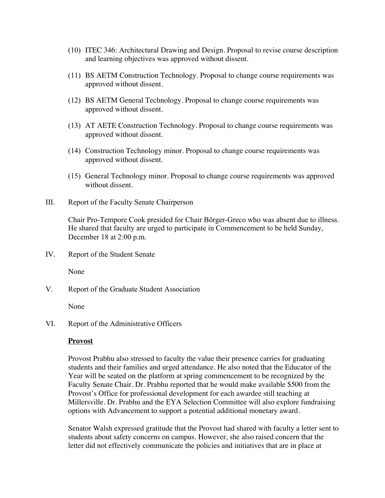- (10) ITEC 346: Architectural Drawing and Design. Proposal to revise course description and learning objectives was approved without dissent.
- (11) BS AETM Construction Technology. Proposal to change course requirements was approved without dissent.
- (12) BS AETM General Technology. Proposal to change course requirements was approved without dissent.
- (13) AT AETE Construction Technology. Proposal to change course requirements was approved without dissent.
- (14) Construction Technology minor. Proposal to change course requirements was approved without dissent.
- (15) General Technology minor. Proposal to change course requirements was approved without dissent.
- III. Report of the Faculty Senate Chairperson

Chair Pro-Tempore Cook presided for Chair Börger-Greco who was absent due to illness. He shared that faculty are urged to participate in Commencement to be held Sunday, December 18 at 2:00 p.m.

IV. Report of the Student Senate

None

V. Report of the Graduate Student Association

None

VI. Report of the Administrative Officers

#### **Provost**

Provost Prabhu also stressed to faculty the value their presence carries for graduating students and their families and urged attendance. He also noted that the Educator of the Year will be seated on the platform at spring commencement to be recognized by the Faculty Senate Chair. Dr. Prabhu reported that he would make available \$500 from the Provost's Office for professional development for each awardee still teaching at Millersville. Dr. Prabhu and the EYA Selection Committee will also explore fundraising options with Advancement to support a potential additional monetary award.

Senator Walsh expressed gratitude that the Provost had shared with faculty a letter sent to students about safety concerns on campus. However, she also raised concern that the letter did not effectively communicate the policies and initiatives that are in place at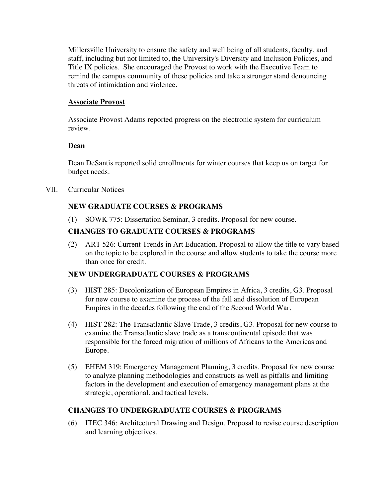Millersville University to ensure the safety and well being of all students, faculty, and staff, including but not limited to, the University's Diversity and Inclusion Policies, and Title IX policies. She encouraged the Provost to work with the Executive Team to remind the campus community of these policies and take a stronger stand denouncing threats of intimidation and violence.

#### **Associate Provost**

Associate Provost Adams reported progress on the electronic system for curriculum review.

### **Dean**

Dean DeSantis reported solid enrollments for winter courses that keep us on target for budget needs.

VII. Curricular Notices

## **NEW GRADUATE COURSES & PROGRAMS**

(1) SOWK 775: Dissertation Seminar, 3 credits. Proposal for new course.

## **CHANGES TO GRADUATE COURSES & PROGRAMS**

(2) ART 526: Current Trends in Art Education. Proposal to allow the title to vary based on the topic to be explored in the course and allow students to take the course more than once for credit.

### **NEW UNDERGRADUATE COURSES & PROGRAMS**

- (3) HIST 285: Decolonization of European Empires in Africa, 3 credits, G3. Proposal for new course to examine the process of the fall and dissolution of European Empires in the decades following the end of the Second World War.
- (4) HIST 282: The Transatlantic Slave Trade, 3 credits, G3. Proposal for new course to examine the Transatlantic slave trade as a transcontinental episode that was responsible for the forced migration of millions of Africans to the Americas and Europe.
- (5) EHEM 319: Emergency Management Planning, 3 credits. Proposal for new course to analyze planning methodologies and constructs as well as pitfalls and limiting factors in the development and execution of emergency management plans at the strategic, operational, and tactical levels.

### **CHANGES TO UNDERGRADUATE COURSES & PROGRAMS**

(6) ITEC 346: Architectural Drawing and Design. Proposal to revise course description and learning objectives.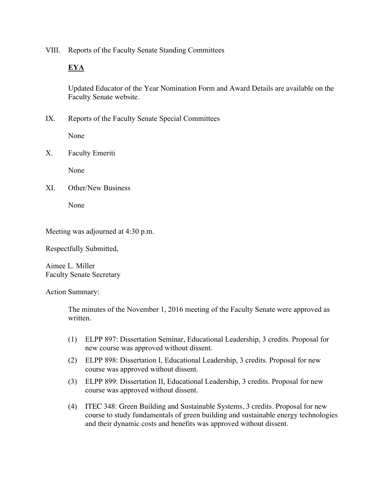VIII. Reports of the Faculty Senate Standing Committees

# **EYA**

Updated Educator of the Year Nomination Form and Award Details are available on the Faculty Senate website.

IX. Reports of the Faculty Senate Special Committees

None

X. Faculty Emeriti

None

XI. Other/New Business

None

Meeting was adjourned at 4:30 p.m.

Respectfully Submitted,

Aimee L. Miller Faculty Senate Secretary

Action Summary:

The minutes of the November 1, 2016 meeting of the Faculty Senate were approved as written.

- (1) ELPP 897: Dissertation Seminar, Educational Leadership, 3 credits. Proposal for new course was approved without dissent.
- (2) ELPP 898: Dissertation I, Educational Leadership, 3 credits. Proposal for new course was approved without dissent.
- (3) ELPP 899: Dissertation II, Educational Leadership, 3 credits. Proposal for new course was approved without dissent.
- (4) ITEC 348: Green Building and Sustainable Systems, 3 credits. Proposal for new course to study fundamentals of green building and sustainable energy technologies and their dynamic costs and benefits was approved without dissent.